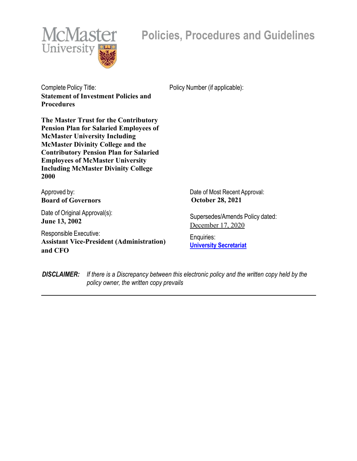

# **Policies, Procedures and Guidelines**

Complete Policy Title: Provide a Policy Number (if applicable): **Statement of Investment Policies and Procedures**

**The Master Trust for the Contributory Pension Plan for Salaried Employees of McMaster University Including McMaster Divinity College and the Contributory Pension Plan for Salaried Employees of McMaster University Including McMaster Divinity College 2000**

Approved by: **Board of Governors**

Date of Original Approval(s): **June 13, 2002**

Responsible Executive: **Assistant Vice-President (Administration) and CFO**

Date of Most Recent Approval:  **October 28, 2021**

Supersedes/Amends Policy dated: December 17, 2020

Enquiries: **University Secretariat**

*DISCLAIMER: If there is a Discrepancy between this electronic policy and the written copy held by the policy owner, the written copy prevails*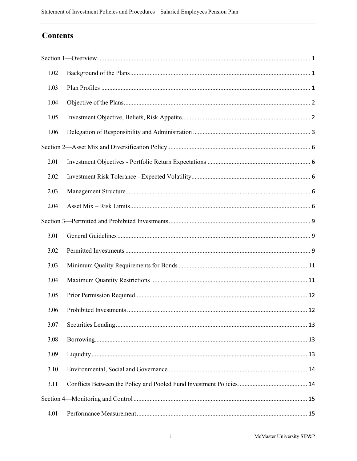# **Contents**

| 1.02 |  |
|------|--|
| 1.03 |  |
| 1.04 |  |
| 1.05 |  |
| 1.06 |  |
|      |  |
| 2.01 |  |
| 2.02 |  |
| 2.03 |  |
| 2.04 |  |
|      |  |
| 3.01 |  |
|      |  |
| 3.02 |  |
| 3.03 |  |
| 3.04 |  |
| 3.05 |  |
| 3.06 |  |
| 3.07 |  |
| 3.08 |  |
| 3.09 |  |
| 3.10 |  |
| 3.11 |  |
|      |  |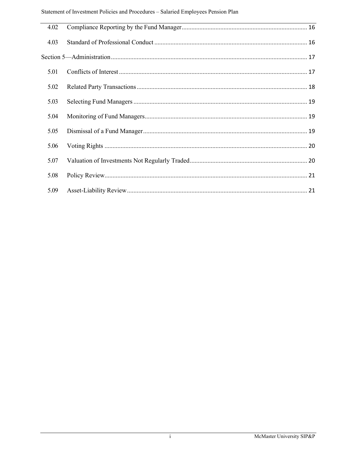| 4.02 |  |
|------|--|
| 4.03 |  |
|      |  |
| 5.01 |  |
| 5.02 |  |
| 5.03 |  |
| 5.04 |  |
| 5.05 |  |
| 5.06 |  |
| 5.07 |  |
| 5.08 |  |
| 5.09 |  |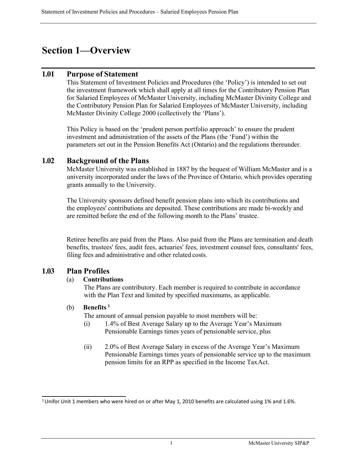# <span id="page-3-0"></span>**Section 1—Overview**

## **1.01 Purpose of Statement**

This Statement of Investment Policies and Procedures (the 'Policy') is intended to set out the investment framework which shall apply at all times for the Contributory Pension Plan for Salaried Employees of McMaster University, including McMaster Divinity College and the Contributory Pension Plan for Salaried Employees of McMaster University, including McMaster Divinity College 2000 (collectively the 'Plans').

This Policy is based on the 'prudent person portfolio approach' to ensure the prudent investment and administration of the assets of the Plans (the 'Fund') within the parameters set out in the Pension Benefits Act (Ontario) and the regulations thereunder.

## <span id="page-3-1"></span>**1.02 Background of the Plans**

McMaster University was established in 1887 by the bequest of William McMaster and is a university incorporated under the laws of the Province of Ontario, which provides operating grants annually to the University.

The University sponsors defined benefit pension plans into which its contributions and the employees' contributions are deposited. These contributions are made bi-weekly and are remitted before the end of the following month to the Plans' trustee.

Retiree benefits are paid from the Plans. Also paid from the Plans are termination and death benefits, trustees' fees, audit fees, actuaries' fees, investment counsel fees, consultants' fees, filing fees and administrative and other related costs.

## <span id="page-3-2"></span>**1.03 Plan Profiles**

### (a) **Contributions**

The Plans are contributory. Each member is required to contribute in accordance with the Plan Text and limited by specified maximums, as applicable.

### (b) **Benefits <sup>1</sup>**

The amount of annual pension payable to most members will be:

- (i) 1.4% of Best Average Salary up to the Average Year's Maximum Pensionable Earnings times years of pensionable service, plus
- (ii) 2.0% of Best Average Salary in excess of the Average Year's Maximum Pensionable Earnings times years of pensionable service up to the maximum pension limits for an RPP as specified in the Income TaxAct.

<sup>&</sup>lt;sup>1</sup> Unifor Unit 1 members who were hired on or after May 1, 2010 benefits are calculated using 1% and 1.6%.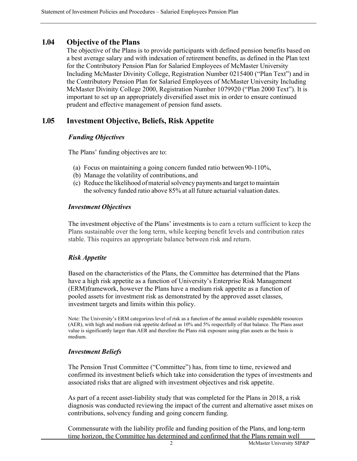## <span id="page-4-0"></span>**1.04 Objective of the Plans**

The objective of the Plans is to provide participants with defined pension benefits based on a best average salary and with indexation of retirement benefits, as defined in the Plan text for the Contributory Pension Plan for Salaried Employees of McMaster University Including McMaster Divinity College, Registration Number 0215400 ("Plan Text") and in the Contributory Pension Plan for Salaried Employees of McMaster University Including McMaster Divinity College 2000, Registration Number 1079920 ("Plan 2000 Text"). It is important to set up an appropriately diversified asset mix in order to ensure continued prudent and effective management of pension fund assets.

## <span id="page-4-1"></span>**1.05 Investment Objective, Beliefs, Risk Appetite**

#### *Funding Objectives*

The Plans' funding objectives are to:

- (a) Focus on maintaining a going concern funded ratio between90-110%,
- (b) Manage the volatility of contributions, and
- (c) Reduce the likelihood ofmaterialsolvency payments and target tomaintain the solvency funded ratio above 85% at all future actuarial valuation dates.

#### *Investment Objectives*

The investment objective of the Plans' investments is to earn a return sufficient to keep the Plans sustainable over the long term, while keeping benefit levels and contribution rates stable. This requires an appropriate balance between risk and return.

### *Risk Appetite*

Based on the characteristics of the Plans, the Committee has determined that the Plans have a high risk appetite as a function of University's Enterprise Risk Management (ERM)framework, however the Plans have a medium risk appetite as a function of pooled assets for investment risk as demonstrated by the approved asset classes, investment targets and limits within this policy.

Note: The University's ERM categorizes level of risk as a function of the annual available expendable resources (AER), with high and medium risk appetite defined as 10% and 5% respectfully of that balance. The Plans asset value is significantly larger than AER and therefore the Plans risk exposure using plan assets as the basis is medium.

#### *Investment Beliefs*

The Pension Trust Committee ("Committee") has, from time to time, reviewed and confirmed its investment beliefs which take into consideration the types of investments and associated risks that are aligned with investment objectives and risk appetite.

As part of a recent asset-liability study that was completed for the Plans in 2018, a risk diagnosis was conducted reviewing the impact of the current and alternative asset mixes on contributions, solvency funding and going concern funding.

Commensurate with the liability profile and funding position of the Plans, and long-term time horizon, the Committee has determined and confirmed that the Plans remain well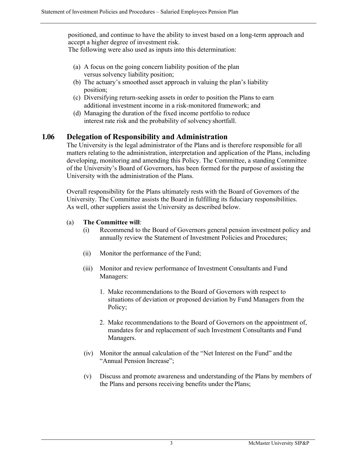positioned, and continue to have the ability to invest based on a long-term approach and accept a higher degree of investment risk.

The following were also used as inputs into this determination:

- (a) A focus on the going concern liability position of the plan versus solvency liability position;
- (b) The actuary's smoothed asset approach in valuing the plan's liability position;
- (c) Diversifying return-seeking assets in order to position the Plans to earn additional investment income in a risk-monitored framework; and
- (d) Managing the duration of the fixed income portfolio to reduce interest rate risk and the probability of solvencyshortfall.

# <span id="page-5-0"></span>**1.06 Delegation of Responsibility and Administration**

The University is the legal administrator of the Plans and is therefore responsible for all matters relating to the administration, interpretation and application of the Plans, including developing, monitoring and amending this Policy. The Committee, a standing Committee of the University's Board of Governors, has been formed for the purpose of assisting the University with the administration of the Plans.

Overall responsibility for the Plans ultimately rests with the Board of Governors of the University. The Committee assists the Board in fulfilling its fiduciary responsibilities. As well, other suppliers assist the University as described below.

#### (a) **The Committee will**:

- (i) Recommend to the Board of Governors general pension investment policy and annually review the Statement of Investment Policies and Procedures;
- (ii) Monitor the performance of the Fund;
- (iii) Monitor and review performance of Investment Consultants and Fund Managers:
	- 1. Make recommendations to the Board of Governors with respect to situations of deviation or proposed deviation by Fund Managers from the Policy;
	- 2. Make recommendations to the Board of Governors on the appointment of, mandates for and replacement of such Investment Consultants and Fund Managers.
- (iv) Monitor the annual calculation of the "Net Interest on the Fund" and the "Annual Pension Increase";
- (v) Discuss and promote awareness and understanding of the Plans by members of the Plans and persons receiving benefits under the Plans;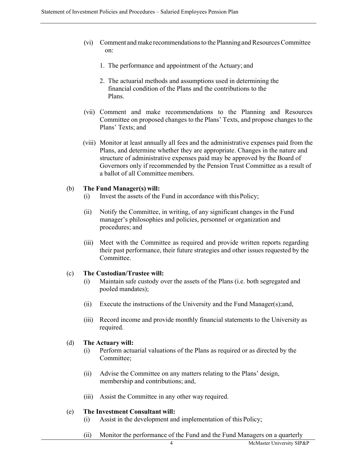- (vi) Comment andmake recommendationsto the Planning andResourcesCommittee on:
	- 1. The performance and appointment of the Actuary; and
	- 2. The actuarial methods and assumptions used in determining the financial condition of the Plans and the contributions to the Plans.
- (vii) Comment and make recommendations to the Planning and Resources Committee on proposed changes to the Plans' Texts, and propose changes to the Plans' Texts; and
- (viii) Monitor at least annually all fees and the administrative expenses paid from the Plans, and determine whether they are appropriate. Changes in the nature and structure of administrative expenses paid may be approved by the Board of Governors only if recommended by the Pension Trust Committee as a result of a ballot of all Committee members.

#### (b) **The Fund Manager(s) will:**

- (i) Invest the assets of the Fund in accordance with thisPolicy;
- (ii) Notify the Committee, in writing, of any significant changes in the Fund manager's philosophies and policies, personnel or organization and procedures; and
- (iii) Meet with the Committee as required and provide written reports regarding their past performance, their future strategies and other issues requested by the Committee.

#### (c) **The Custodian/Trustee will:**

- (i) Maintain safe custody over the assets of the Plans (i.e. both segregated and pooled mandates);
- (ii) Execute the instructions of the University and the Fund Manager(s);and,
- (iii) Record income and provide monthly financial statements to the University as required.

#### (d) **The Actuary will:**

- (i) Perform actuarial valuations of the Plans as required or as directed by the Committee;
- (ii) Advise the Committee on any matters relating to the Plans' design, membership and contributions; and,
- (iii) Assist the Committee in any other way required.

#### (e) **The Investment Consultant will:**

- (i) Assist in the development and implementation of this Policy;
- (ii) Monitor the performance of the Fund and the Fund Managers on a quarterly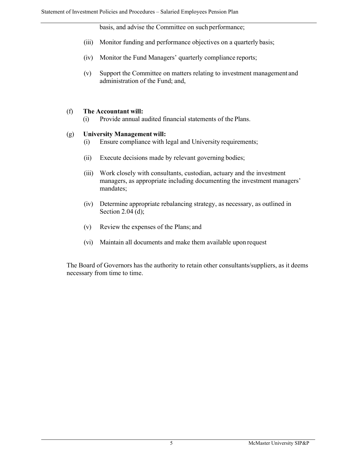basis, and advise the Committee on such performance;

- (iii) Monitor funding and performance objectives on a quarterly basis;
- (iv) Monitor the Fund Managers' quarterly compliance reports;
- (v) Support the Committee on matters relating to investment management and administration of the Fund; and,

#### (f) **The Accountant will:**

(i) Provide annual audited financial statements of the Plans.

#### (g) **University Management will:**

- (i) Ensure compliance with legal and University requirements;
- (ii) Execute decisions made by relevant governing bodies;
- (iii) Work closely with consultants, custodian, actuary and the investment managers, as appropriate including documenting the investment managers' mandates;
- (iv) Determine appropriate rebalancing strategy, as necessary, as outlined in Section 2.04 (d);
- (v) Review the expenses of the Plans; and
- (vi) Maintain all documents and make them available upon request

The Board of Governors has the authority to retain other consultants/suppliers, as it deems necessary from time to time.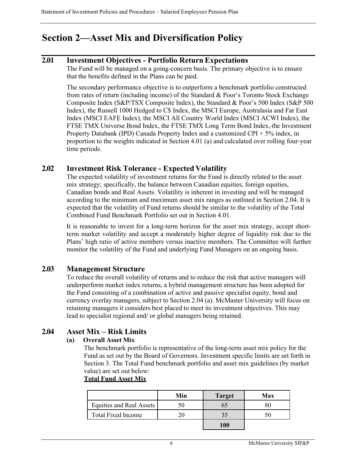# <span id="page-8-0"></span>**Section 2—Asset Mix and Diversification Policy**

## <span id="page-8-1"></span>**2.01 Investment Objectives - Portfolio Return Expectations**

The Fund will be managed on a going-concern basis. The primary objective is to ensure that the benefits defined in the Plans can be paid.

The secondary performance objective is to outperform a benchmark portfolio constructed from rates of return (including income) of the Standard & Poor's Toronto Stock Exchange Composite Index (S&P/TSX Composite Index), the Standard & Poor's 500 Index (S&P 500 Index), the Russell 1000 Hedged to C\$ Index, the MSCI Europe, Australasia and Far East Index (MSCI EAFE Index), the MSCI All Country World Index (MSCI ACWI Index), the FTSE TMX Universe Bond Index, the FTSE TMX Long Term Bond Index, the Investment Property Databank (IPD) Canada Property Index and a customized CPI + 5% index, in proportion to the weights indicated in Section 4.01 (a) and calculated over rolling four-year time periods.

## <span id="page-8-2"></span>**2.02 Investment Risk Tolerance - Expected Volatility**

The expected volatility of investment returns for the Fund is directly related to the asset mix strategy; specifically, the balance between Canadian equities, foreign equities, Canadian bonds and Real Assets. Volatility is inherent in investing and will be managed according to the minimum and maximum asset mix ranges as outlined in Section 2.04. It is expected that the volatility of Fund returns should be similar to the volatility of the Total Combined Fund Benchmark Portfolio set out in Section 4.01.

It is reasonable to invest for a long-term horizon for the asset mix strategy, accept shortterm market volatility and accept a moderately higher degree of liquidity risk due to the Plans' high ratio of active members versus inactive members. The Committee will further monitor the volatility of the Fund and underlying Fund Managers on an ongoing basis.

# <span id="page-8-3"></span>**2.03 Management Structure**

To reduce the overall volatility of returns and to reduce the risk that active managers will underperform market index returns, a hybrid management structure has been adopted for the Fund consisting of a combination of active and passive specialist equity, bond and currency overlay managers, subject to Section 2.04 (a). McMaster University will focus on retaining managers it considers best placed to meet its investment objectives. This may lead to specialist regional and/ or global managers being retained.

# <span id="page-8-4"></span>**2.04 Asset Mix – Risk Limits**

### **(a) Overall Asset Mix**

The benchmark portfolio is representative of the long-term asset mix policy for the Fund as set out by the Board of Governors. Investment specific limits are set forth in Section 3. The Total Fund benchmark portfolio and asset mix guidelines (by market value) are set out below:

**Total Fund Asset Mix**

|                           | Min | <b>Target</b> | Max |
|---------------------------|-----|---------------|-----|
| Equities and Real Assets  |     |               |     |
| <b>Total Fixed Income</b> |     |               |     |
|                           |     |               |     |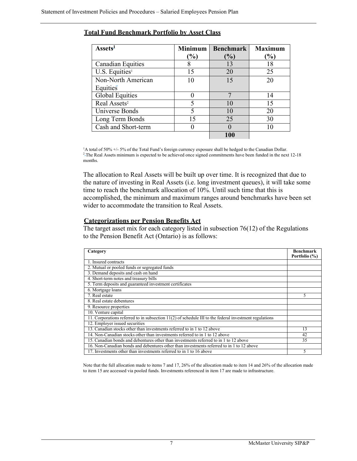| Assets <sup>1</sup>        | <b>Minimum</b>           | <b>Benchmark</b> | <b>Maximum</b> |
|----------------------------|--------------------------|------------------|----------------|
|                            | $(\%)$                   | $\mathcal{O}_0$  | $(\%)$         |
| <b>Canadian Equities</b>   | 8                        | 13               | 18             |
| U.S. Equities <sup>1</sup> | 15                       | 20               | 25             |
| Non-North American         | 10                       | 15               | 20             |
| Equities                   |                          |                  |                |
| <b>Global Equities</b>     |                          |                  | 14             |
| Real Assets <sup>2</sup>   | $\overline{\mathcal{L}}$ | 10               | 15             |
| Universe Bonds             | 5                        | 10               | 20             |
| Long Term Bonds            | 15                       | 25               | 30             |
| Cash and Short-term        |                          |                  |                |
|                            |                          |                  |                |

#### **Total Fund Benchmark Portfolio by Asset Class**

<sup>1</sup>A total of 50% +/- 5% of the Total Fund's foreign currency exposure shall be hedged to the Canadian Dollar. <sup>2</sup>-The Real Assets minimum is expected to be achieved once signed commitments have been funded in the next 12-18 months.

The allocation to Real Assets will be built up over time. It is recognized that due to the nature of investing in Real Assets (i.e. long investment queues), it will take some time to reach the benchmark allocation of 10%. Until such time that this is accomplished, the minimum and maximum ranges around benchmarks have been set wider to accommodate the transition to Real Assets.

#### **Categorizations per Pension Benefits Act**

The target asset mix for each category listed in subsection 76(12) of the Regulations to the Pension Benefit Act (Ontario) is as follows:

| Category                                                                                                 | <b>Benchmark</b><br>Portfolio (%) |
|----------------------------------------------------------------------------------------------------------|-----------------------------------|
| 1. Insured contracts                                                                                     |                                   |
| 2. Mutual or pooled funds or segregated funds                                                            |                                   |
| 3. Demand deposits and cash on hand                                                                      |                                   |
| 4. Short-term notes and treasury bills                                                                   |                                   |
| 5. Term deposits and guaranteed investment certificates                                                  |                                   |
| 6. Mortgage loans                                                                                        |                                   |
| 7. Real estate                                                                                           | 5                                 |
| 8. Real estate debentures                                                                                |                                   |
| 9. Resource properties                                                                                   |                                   |
| 10. Venture capital                                                                                      |                                   |
| 11. Corporations referred to in subsection $11(2)$ of schedule III to the federal investment regulations |                                   |
| 12. Employer issued securities                                                                           |                                   |
| 13. Canadian stocks other than investments referred to in 1 to 12 above                                  | 13                                |
| 14. Non-Canadian stocks other than investments referred to in 1 to 12 above                              | 42                                |
| 15. Canadian bonds and debentures other than investments referred to in 1 to 12 above                    | 35                                |
| 16. Non-Canadian bonds and debentures other than investments referred to in 1 to 12 above                |                                   |
| 17. Investments other than investments referred to in 1 to 16 above                                      | 5                                 |

Note that the full allocation made to items 7 and 17, 26% of the allocation made to item 14 and 26% of the allocation made to item 15 are accessed via pooled funds. Investments referenced in item 17 are made to infrastructure.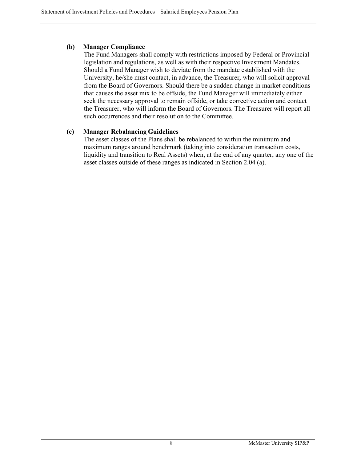### **(b) Manager Compliance**

The Fund Managers shall comply with restrictions imposed by Federal or Provincial legislation and regulations, as well as with their respective Investment Mandates. Should a Fund Manager wish to deviate from the mandate established with the University, he/she must contact, in advance, the Treasurer*,* who will solicit approval from the Board of Governors. Should there be a sudden change in market conditions that causes the asset mix to be offside, the Fund Manager will immediately either seek the necessary approval to remain offside, or take corrective action and contact the Treasurer, who will inform the Board of Governors. The Treasurer will report all such occurrences and their resolution to the Committee.

### **(c) Manager Rebalancing Guidelines**

The asset classes of the Plans shall be rebalanced to within the minimum and maximum ranges around benchmark (taking into consideration transaction costs, liquidity and transition to Real Assets) when, at the end of any quarter, any one of the asset classes outside of these ranges as indicated in Section 2.04 (a).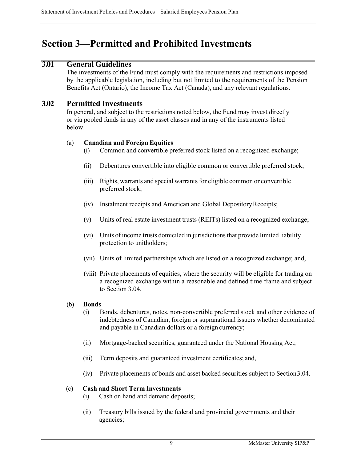# <span id="page-11-0"></span>**Section 3—Permitted and Prohibited Investments**

## <span id="page-11-1"></span>**3.01 General Guidelines**

The investments of the Fund must comply with the requirements and restrictions imposed by the applicable legislation, including but not limited to the requirements of the Pension Benefits Act (Ontario), the Income Tax Act (Canada), and any relevant regulations.

## <span id="page-11-2"></span>**3.02 Permitted Investments**

In general, and subject to the restrictions noted below, the Fund may invest directly or via pooled funds in any of the asset classes and in any of the instruments listed below.

#### (a) **Canadian and Foreign Equities**

- (i) Common and convertible preferred stock listed on a recognized exchange;
- (ii) Debentures convertible into eligible common or convertible preferred stock;
- (iii) Rights, warrants and special warrantsfor eligible common or convertible preferred stock;
- (iv) Instalment receipts and American and Global DepositoryReceipts;
- (v) Units of real estate investment trusts (REITs) listed on a recognized exchange;
- (vi) Units of income trusts domiciled in jurisdictionsthat provide limited liability protection to unitholders;
- (vii) Units of limited partnerships which are listed on a recognized exchange; and,
- (viii) Private placements of equities, where the security will be eligible for trading on a recognized exchange within a reasonable and defined time frame and subject to Section 3.04.

#### (b) **Bonds**

- (i) Bonds, debentures, notes, non-convertible preferred stock and other evidence of indebtedness of Canadian, foreign or supranational issuers whether denominated and payable in Canadian dollars or a foreign currency;
- (ii) Mortgage-backed securities, guaranteed under the National Housing Act;
- (iii) Term deposits and guaranteed investment certificates; and,
- (iv) Private placements of bonds and asset backed securities subject to Section3.04.

#### (c) **Cash and Short Term Investments**

- (i) Cash on hand and demand deposits;
- (ii) Treasury bills issued by the federal and provincial governments and their agencies;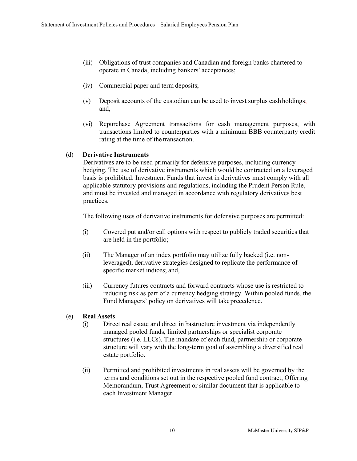- (iii) Obligations of trust companies and Canadian and foreign banks chartered to operate in Canada, including bankers' acceptances;
- (iv) Commercial paper and term deposits;
- (v) Deposit accounts of the custodian can be used to invest surplus cashholdings; and,
- (vi) Repurchase Agreement transactions for cash management purposes, with transactions limited to counterparties with a minimum BBB counterparty credit rating at the time of the transaction.

## (d) **Derivative Instruments**

Derivatives are to be used primarily for defensive purposes, including currency hedging. The use of derivative instruments which would be contracted on a leveraged basis is prohibited. Investment Funds that invest in derivatives must comply with all applicable statutory provisions and regulations, including the Prudent Person Rule, and must be invested and managed in accordance with regulatory derivatives best practices.

The following uses of derivative instruments for defensive purposes are permitted:

- (i) Covered put and/or call options with respect to publicly traded securities that are held in the portfolio;
- (ii) The Manager of an index portfolio may utilize fully backed (i.e. nonleveraged), derivative strategies designed to replicate the performance of specific market indices; and,
- (iii) Currency futures contracts and forward contracts whose use is restricted to reducing risk as part of a currency hedging strategy. Within pooled funds, the Fund Managers' policy on derivatives will takeprecedence.

## (e) **Real Assets**

- (i) Direct real estate and direct infrastructure investment via independently managed pooled funds, limited partnerships or specialist corporate structures (i.e. LLCs). The mandate of each fund, partnership or corporate structure will vary with the long-term goal of assembling a diversified real estate portfolio.
- (ii) Permitted and prohibited investments in real assets will be governed by the terms and conditions set out in the respective pooled fund contract, Offering Memorandum, Trust Agreement or similar document that is applicable to each Investment Manager.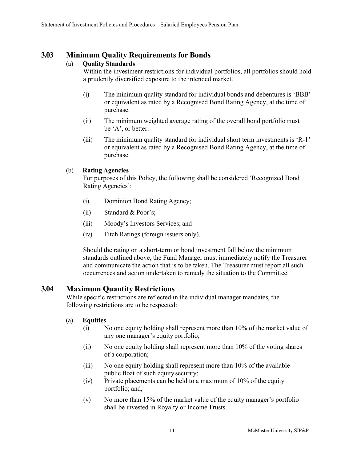# <span id="page-13-0"></span>**3.03 Minimum Quality Requirements for Bonds**

# (a) **Quality Standards**

Within the investment restrictions for individual portfolios, all portfolios should hold a prudently diversified exposure to the intended market.

- (i) The minimum quality standard for individual bonds and debentures is 'BBB' or equivalent as rated by a Recognised Bond Rating Agency, at the time of purchase.
- (ii) The minimum weighted average rating of the overall bond portfoliomust be 'A', or better.
- (iii) The minimum quality standard for individual short term investments is 'R-1' or equivalent as rated by a Recognised Bond Rating Agency, at the time of purchase.

# (b) **Rating Agencies**

For purposes of this Policy, the following shall be considered 'Recognized Bond Rating Agencies':

- (i) Dominion Bond Rating Agency;
- (ii) Standard & Poor's;
- (iii) Moody's Investors Services; and
- (iv) Fitch Ratings (foreign issuers only).

Should the rating on a short-term or bond investment fall below the minimum standards outlined above, the Fund Manager must immediately notify the Treasurer and communicate the action that is to be taken. The Treasurer must report all such occurrences and action undertaken to remedy the situation to the Committee.

# <span id="page-13-1"></span>**3.04 Maximum Quantity Restrictions**

While specific restrictions are reflected in the individual manager mandates, the following restrictions are to be respected:

- (a) **Equities**
	- (i) No one equity holding shall represent more than 10% of the market value of any one manager's equity portfolio;
	- (ii) No one equity holding shall represent more than 10% of the voting shares of a corporation;
	- (iii) No one equity holding shall represent more than 10% of the available public float of such equity security;
	- (iv) Private placements can be held to a maximum of 10% of the equity portfolio; and,
	- (v) No more than 15% of the market value of the equity manager's portfolio shall be invested in Royalty or Income Trusts.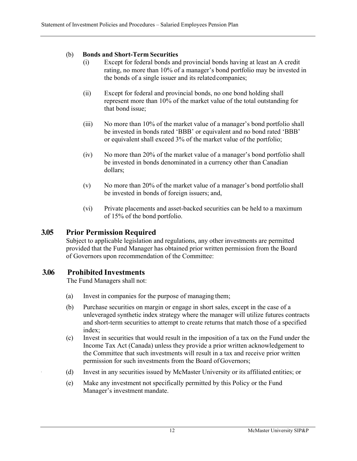## (b) **Bonds and Short-Term Securities**

- (i) Except for federal bonds and provincial bonds having at least an A credit rating, no more than 10% of a manager's bond portfolio may be invested in the bonds of a single issuer and its related companies;
- (ii) Except for federal and provincial bonds, no one bond holding shall represent more than 10% of the market value of the total outstanding for that bond issue;
- (iii) No more than 10% of the market value of a manager's bond portfolio shall be invested in bonds rated 'BBB' or equivalent and no bond rated 'BBB' or equivalent shall exceed 3% of the market value of the portfolio;
- (iv) No more than 20% of the market value of a manager's bond portfolio shall be invested in bonds denominated in a currency other than Canadian dollars;
- (v) No more than 20% of the market value of a manager's bond portfolio shall be invested in bonds of foreign issuers; and,
- (vi) Private placements and asset-backed securities can be held to a maximum of 15% of the bond portfolio.

# <span id="page-14-0"></span>**3.05 Prior Permission Required**

Subject to applicable legislation and regulations, any other investments are permitted provided that the Fund Manager has obtained prior written permission from the Board of Governors upon recommendation of the Committee:

# <span id="page-14-1"></span>**3.06 Prohibited Investments**

The Fund Managers shall not:

- (a) Invest in companies for the purpose of managing them;
- (b) Purchase securities on margin or engage in short sales, except in the case of a unleveraged synthetic index strategy where the manager will utilize futures contracts and short-term securities to attempt to create returns that match those of a specified index;
- (c) Invest in securities that would result in the imposition of a tax on the Fund under the Income Tax Act (Canada) unless they provide a prior written acknowledgement to the Committee that such investments will result in a tax and receive prior written permission for such investments from the Board of Governors;
- (d) Invest in any securities issued by McMaster University or its affiliated entities; or
- (e) Make any investment not specifically permitted by this Policy or the Fund Manager's investment mandate.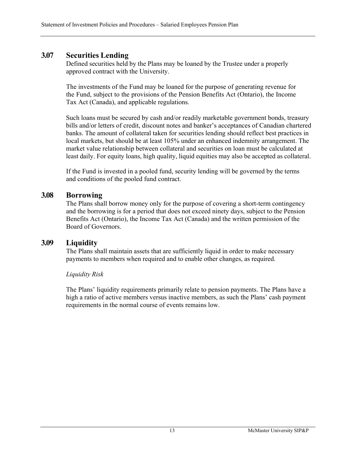# <span id="page-15-0"></span>**3.07 Securities Lending**

Defined securities held by the Plans may be loaned by the Trustee under a properly approved contract with the University.

The investments of the Fund may be loaned for the purpose of generating revenue for the Fund, subject to the provisions of the Pension Benefits Act (Ontario), the Income Tax Act (Canada), and applicable regulations.

Such loans must be secured by cash and/or readily marketable government bonds, treasury bills and/or letters of credit, discount notes and banker's acceptances of Canadian chartered banks. The amount of collateral taken for securities lending should reflect best practices in local markets, but should be at least 105% under an enhanced indemnity arrangement. The market value relationship between collateral and securities on loan must be calculated at least daily. For equity loans, high quality, liquid equities may also be accepted as collateral.

If the Fund is invested in a pooled fund, security lending will be governed by the terms and conditions of the pooled fund contract.

# <span id="page-15-1"></span>**3.08 Borrowing**

The Plans shall borrow money only for the purpose of covering a short-term contingency and the borrowing is for a period that does not exceed ninety days, subject to the Pension Benefits Act (Ontario), the Income Tax Act (Canada) and the written permission of the Board of Governors.

# <span id="page-15-2"></span>**3.09 Liquidity**

The Plans shall maintain assets that are sufficiently liquid in order to make necessary payments to members when required and to enable other changes, as required.

## *Liquidity Risk*

The Plans' liquidity requirements primarily relate to pension payments. The Plans have a high a ratio of active members versus inactive members, as such the Plans' cash payment requirements in the normal course of events remains low.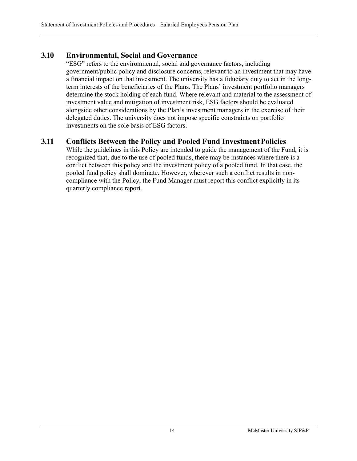# <span id="page-16-0"></span>**3.10 Environmental, Social and Governance**

"ESG" refers to the environmental, social and governance factors, including government/public policy and disclosure concerns, relevant to an investment that may have a financial impact on that investment. The university has a fiduciary duty to act in the longterm interests of the beneficiaries of the Plans. The Plans' investment portfolio managers determine the stock holding of each fund. Where relevant and material to the assessment of investment value and mitigation of investment risk, ESG factors should be evaluated alongside other considerations by the Plan's investment managers in the exercise of their delegated duties. The university does not impose specific constraints on portfolio investments on the sole basis of ESG factors.

# <span id="page-16-1"></span>**3.11 Conflicts Between the Policy and Pooled Fund InvestmentPolicies**

While the guidelines in this Policy are intended to guide the management of the Fund, it is recognized that, due to the use of pooled funds, there may be instances where there is a conflict between this policy and the investment policy of a pooled fund. In that case, the pooled fund policy shall dominate. However, wherever such a conflict results in noncompliance with the Policy, the Fund Manager must report this conflict explicitly in its quarterly compliance report.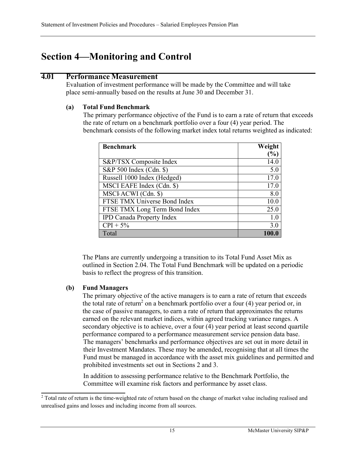# <span id="page-17-0"></span>**Section 4—Monitoring and Control**

# <span id="page-17-1"></span>**4.01 Performance Measurement**

Evaluation of investment performance will be made by the Committee and will take place semi-annually based on the results at June 30 and December 31.

## **(a) Total Fund Benchmark**

The primary performance objective of the Fund is to earn a rate of return that exceeds the rate of return on a benchmark portfolio over a four (4) year period. The benchmark consists of the following market index total returns weighted as indicated:

| <b>Benchmark</b>                 | Weight |
|----------------------------------|--------|
|                                  | $\%$   |
| S&P/TSX Composite Index          | 14.0   |
| S&P 500 Index (Cdn. \$)          | 5.0    |
| Russell 1000 Index (Hedged)      | 17.0   |
| MSCI EAFE Index (Cdn. \$)        | 17.0   |
| MSCI ACWI (Cdn. \$)              | 8.0    |
| FTSE TMX Universe Bond Index     | 10.0   |
| FTSE TMX Long Term Bond Index    | 25.0   |
| <b>IPD Canada Property Index</b> | 1.0    |
| $CPI + 5%$                       | 3.0    |
| Total                            |        |

The Plans are currently undergoing a transition to its Total Fund Asset Mix as outlined in Section 2.04. The Total Fund Benchmark will be updated on a periodic basis to reflect the progress of this transition.

# **(b) Fund Managers**

The primary objective of the active managers is to earn a rate of return that exceeds the total rate of return<sup>2</sup> on a benchmark portfolio over a four  $(4)$  year period or, in the case of passive managers, to earn a rate of return that approximates the returns earned on the relevant market indices, within agreed tracking variance ranges. A secondary objective is to achieve, over a four (4) year period at least second quartile performance compared to a performance measurement service pension data base. The managers' benchmarks and performance objectives are set out in more detail in their Investment Mandates. These may be amended, recognising that at all times the Fund must be managed in accordance with the asset mix guidelines and permitted and prohibited investments set out in Sections 2 and 3.

In addition to assessing performance relative to the Benchmark Portfolio, the Committee will examine risk factors and performance by asset class.

<sup>&</sup>lt;sup>2</sup> Total rate of return is the time-weighted rate of return based on the change of market value including realised and unrealised gains and losses and including income from all sources.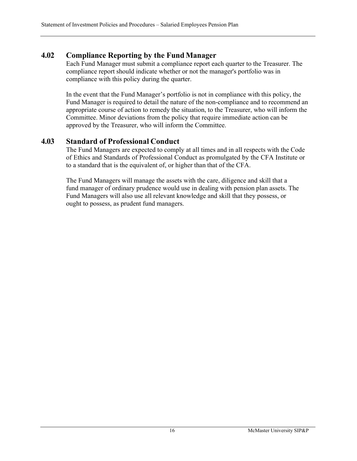# <span id="page-18-0"></span>**4.02 Compliance Reporting by the Fund Manager**

Each Fund Manager must submit a compliance report each quarter to the Treasurer. The compliance report should indicate whether or not the manager's portfolio was in compliance with this policy during the quarter.

In the event that the Fund Manager's portfolio is not in compliance with this policy, the Fund Manager is required to detail the nature of the non-compliance and to recommend an appropriate course of action to remedy the situation, to the Treasurer, who will inform the Committee. Minor deviations from the policy that require immediate action can be approved by the Treasurer, who will inform the Committee.

# <span id="page-18-1"></span>**4.03 Standard of Professional Conduct**

The Fund Managers are expected to comply at all times and in all respects with the Code of Ethics and Standards of Professional Conduct as promulgated by the CFA Institute or to a standard that is the equivalent of, or higher than that of the CFA.

The Fund Managers will manage the assets with the care, diligence and skill that a fund manager of ordinary prudence would use in dealing with pension plan assets. The Fund Managers will also use all relevant knowledge and skill that they possess, or ought to possess, as prudent fund managers.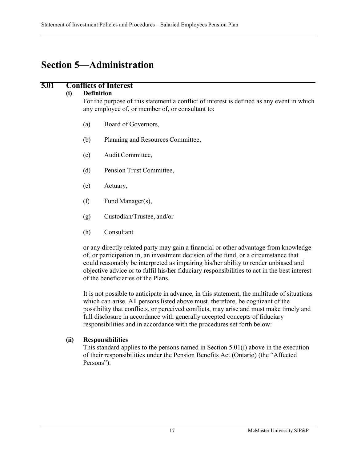# <span id="page-19-0"></span>**Section 5—Administration**

## <span id="page-19-1"></span>**5.01 Conflicts of Interest**

#### **(i) Definition**

For the purpose of this statement a conflict of interest is defined as any event in which any employee of, or member of, or consultant to:

- (a) Board of Governors,
- (b) Planning and Resources Committee,
- (c) Audit Committee,
- (d) Pension Trust Committee,
- (e) Actuary,
- (f) Fund Manager(s),
- (g) Custodian/Trustee, and/or
- (h) Consultant

or any directly related party may gain a financial or other advantage from knowledge of, or participation in, an investment decision of the fund, or a circumstance that could reasonably be interpreted as impairing his/her ability to render unbiased and objective advice or to fulfil his/her fiduciary responsibilities to act in the best interest of the beneficiaries of the Plans.

It is not possible to anticipate in advance, in this statement, the multitude of situations which can arise. All persons listed above must, therefore, be cognizant of the possibility that conflicts, or perceived conflicts, may arise and must make timely and full disclosure in accordance with generally accepted concepts of fiduciary responsibilities and in accordance with the procedures set forth below:

### **(ii) Responsibilities**

This standard applies to the persons named in Section 5.01(i) above in the execution of their responsibilities under the Pension Benefits Act (Ontario) (the "Affected Persons").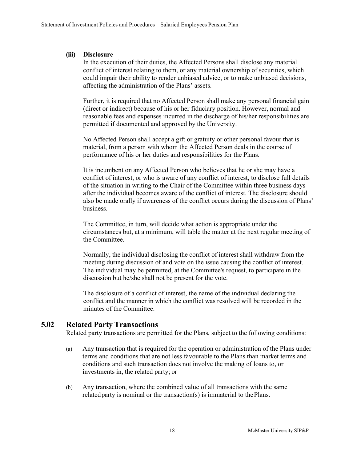## **(iii) Disclosure**

In the execution of their duties, the Affected Persons shall disclose any material conflict of interest relating to them, or any material ownership of securities, which could impair their ability to render unbiased advice, or to make unbiased decisions, affecting the administration of the Plans' assets.

Further, it is required that no Affected Person shall make any personal financial gain (direct or indirect) because of his or her fiduciary position. However, normal and reasonable fees and expenses incurred in the discharge of his/her responsibilities are permitted if documented and approved by the University.

No Affected Person shall accept a gift or gratuity or other personal favour that is material, from a person with whom the Affected Person deals in the course of performance of his or her duties and responsibilities for the Plans.

It is incumbent on any Affected Person who believes that he or she may have a conflict of interest, or who is aware of any conflict of interest, to disclose full details of the situation in writing to the Chair of the Committee within three business days after the individual becomes aware of the conflict of interest. The disclosure should also be made orally if awareness of the conflict occurs during the discussion of Plans' business.

The Committee, in turn, will decide what action is appropriate under the circumstances but, at a minimum, will table the matter at the next regular meeting of the Committee.

Normally, the individual disclosing the conflict of interest shall withdraw from the meeting during discussion of and vote on the issue causing the conflict of interest. The individual may be permitted, at the Committee's request, to participate in the discussion but he/she shall not be present for the vote.

The disclosure of a conflict of interest, the name of the individual declaring the conflict and the manner in which the conflict was resolved will be recorded in the minutes of the Committee.

# <span id="page-20-0"></span>**5.02 Related Party Transactions**

Related party transactions are permitted for the Plans, subject to the following conditions:

- (a) Any transaction that is required for the operation or administration of the Plans under terms and conditions that are not less favourable to the Plans than market terms and conditions and such transaction does not involve the making of loans to, or investments in, the related party; or
- (b) Any transaction, where the combined value of all transactions with the same related party is nominal or the transaction(s) is immaterial to thePlans.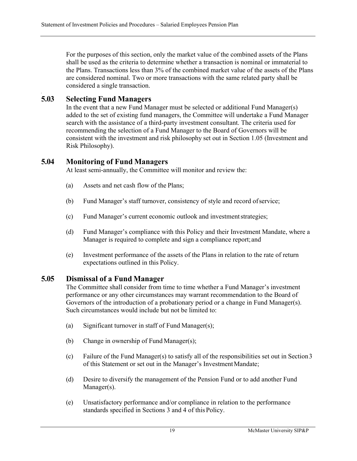For the purposes of this section, only the market value of the combined assets of the Plans shall be used as the criteria to determine whether a transaction is nominal or immaterial to the Plans. Transactions less than 3% of the combined market value of the assets of the Plans are considered nominal. Two or more transactions with the same related party shall be considered a single transaction.

# <span id="page-21-0"></span>**5.03 Selecting Fund Managers**

In the event that a new Fund Manager must be selected or additional Fund Manager(s) added to the set of existing fund managers, the Committee will undertake a Fund Manager search with the assistance of a third-party investment consultant. The criteria used for recommending the selection of a Fund Manager to the Board of Governors will be consistent with the investment and risk philosophy set out in Section 1.05 (Investment and Risk Philosophy).

# <span id="page-21-1"></span>**5.04 Monitoring of Fund Managers**

At least semi-annually, the Committee will monitor and review the:

- (a) Assets and net cash flow of the Plans;
- (b) Fund Manager's staff turnover, consistency of style and record ofservice;
- (c) Fund Manager's current economic outlook and investmentstrategies;
- (d) Fund Manager's compliance with this Policy and their Investment Mandate, where a Manager is required to complete and sign a compliance report;and
- (e) Investment performance of the assets of the Plans in relation to the rate of return expectations outlined in this Policy.

## <span id="page-21-2"></span>**5.05 Dismissal of a Fund Manager**

The Committee shall consider from time to time whether a Fund Manager's investment performance or any other circumstances may warrant recommendation to the Board of Governors of the introduction of a probationary period or a change in Fund Manager(s). Such circumstances would include but not be limited to:

- (a) Significant turnover in staff of Fund Manager(s);
- (b) Change in ownership of Fund Manager(s);
- (c) Failure of the Fund Manager(s) to satisfy all of the responsibilities set out in Section3 of this Statement or set out in the Manager's InvestmentMandate;
- (d) Desire to diversify the management of the Pension Fund or to add another Fund Manager(s).
- (e) Unsatisfactory performance and/or compliance in relation to the performance standards specified in Sections 3 and 4 of thisPolicy.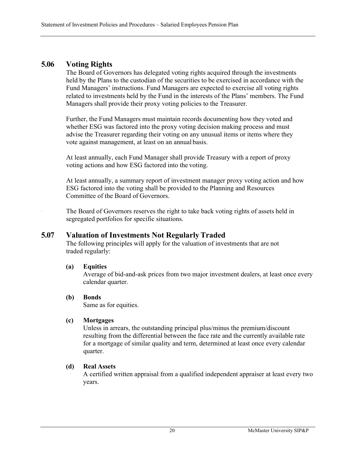# <span id="page-22-0"></span>**5.06 Voting Rights**

The Board of Governors has delegated voting rights acquired through the investments held by the Plans to the custodian of the securities to be exercised in accordance with the Fund Managers' instructions. Fund Managers are expected to exercise all voting rights related to investments held by the Fund in the interests of the Plans' members. The Fund Managers shall provide their proxy voting policies to the Treasurer.

Further, the Fund Managers must maintain records documenting how they voted and whether ESG was factored into the proxy voting decision making process and must advise the Treasurer regarding their voting on any unusual items or items where they vote against management, at least on an annual basis.

At least annually, each Fund Manager shall provide Treasury with a report of proxy voting actions and how ESG factored into the voting.

At least annually, a summary report of investment manager proxy voting action and how ESG factored into the voting shall be provided to the Planning and Resources Committee of the Board of Governors.

The Board of Governors reserves the right to take back voting rights of assets held in segregated portfolios for specific situations.

## <span id="page-22-1"></span>**5.07 Valuation of Investments Not Regularly Traded**

The following principles will apply for the valuation of investments that are not traded regularly:

### **(a) Equities**

Average of bid-and-ask prices from two major investment dealers, at least once every calendar quarter.

### **(b) Bonds**

Same as for equities.

### **(c) Mortgages**

Unless in arrears, the outstanding principal plus/minus the premium/discount resulting from the differential between the face rate and the currently available rate for a mortgage of similar quality and term, determined at least once every calendar quarter.

### **(d) Real Assets**

A certified written appraisal from a qualified independent appraiser at least every two years.